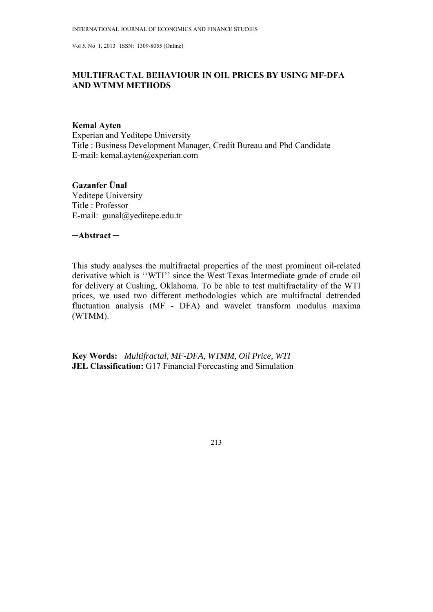# **MULTIFRACTAL BEHAVIOUR IN OIL PRICES BY USING MF-DFA AND WTMM METHODS**

# **Kemal Ayten**

Experian and Yeditepe University Title : Business Development Manager, Credit Bureau and Phd Candidate E-mail: kemal.ayten@experian.com

### **Gazanfer Ünal**  Yeditepe University

Title : Professor E-mail: gunal@yeditepe.edu.tr

**─Abstract ─**

This study analyses the multifractal properties of the most prominent oil-related derivative which is ''WTI'' since the West Texas Intermediate grade of crude oil for delivery at Cushing, Oklahoma. To be able to test multifractality of the WTI prices, we used two different methodologies which are multifractal detrended fluctuation analysis (MF - DFA) and wavelet transform modulus maxima (WTMM).

**Key Words:** *Multifractal, MF-DFA, WTMM, Oil Price, WTI*  **JEL Classification:** G17 Financial Forecasting and Simulation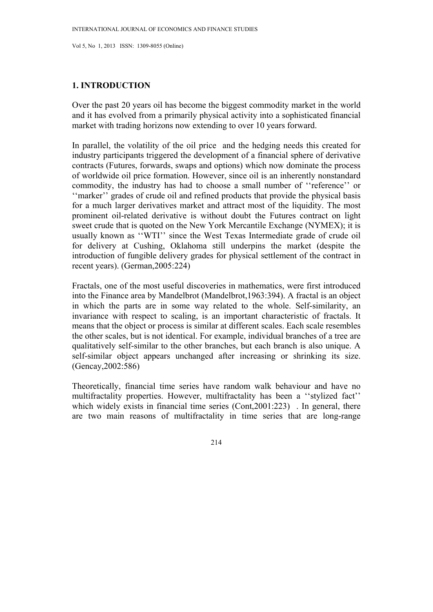# **1. INTRODUCTION**

Over the past 20 years oil has become the biggest commodity market in the world and it has evolved from a primarily physical activity into a sophisticated financial market with trading horizons now extending to over 10 years forward.

In parallel, the volatility of the oil price and the hedging needs this created for industry participants triggered the development of a financial sphere of derivative contracts (Futures, forwards, swaps and options) which now dominate the process of worldwide oil price formation. However, since oil is an inherently nonstandard commodity, the industry has had to choose a small number of ''reference'' or ''marker'' grades of crude oil and refined products that provide the physical basis for a much larger derivatives market and attract most of the liquidity. The most prominent oil-related derivative is without doubt the Futures contract on light sweet crude that is quoted on the New York Mercantile Exchange (NYMEX); it is usually known as "WTI" since the West Texas Intermediate grade of crude oil for delivery at Cushing, Oklahoma still underpins the market (despite the introduction of fungible delivery grades for physical settlement of the contract in recent years). (German,2005:224)

Fractals, one of the most useful discoveries in mathematics, were first introduced into the Finance area by Mandelbrot (Mandelbrot,1963:394). A fractal is an object in which the parts are in some way related to the whole. Self-similarity, an invariance with respect to scaling, is an important characteristic of fractals. It means that the object or process is similar at different scales. Each scale resembles the other scales, but is not identical. For example, individual branches of a tree are qualitatively self-similar to the other branches, but each branch is also unique. A self-similar object appears unchanged after increasing or shrinking its size. (Gencay,2002:586)

Theoretically, financial time series have random walk behaviour and have no multifractality properties. However, multifractality has been a ''stylized fact'' which widely exists in financial time series (Cont, 2001:223). In general, there are two main reasons of multifractality in time series that are long-range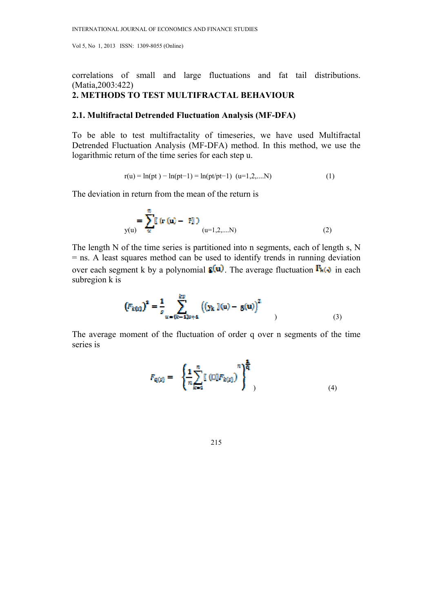correlations of small and large fluctuations and fat tail distributions. (Matia,2003:422)

# **2. METHODS TO TEST MULTIFRACTAL BEHAVIOUR**

# **2.1. Multifractal Detrended Fluctuation Analysis (MF-DFA)**

To be able to test multifractality of timeseries, we have used Multifractal Detrended Fluctuation Analysis (MF-DFA) method. In this method, we use the logarithmic return of the time series for each step u.

$$
r(u) = \ln(pt) - \ln(pt-1) = \ln(pt/pt-1) \ (u=1,2,...N)
$$
 (1)

The deviation in return from the mean of the return is

$$
\sum_{y(u)} = \sum_{u}^{n} \mathbf{r} \left( \mathbf{r} \left( u \right) - \mathbf{r} \right)
$$
\n
$$
u = 1, 2, \dots, N \tag{2}
$$

The length N of the time series is partitioned into n segments, each of length s, N = ns. A least squares method can be used to identify trends in running deviation over each segment k by a polynomial  $\overline{\mathbf{s}}(\mathbf{u})$ . The average fluctuation  $\mathbf{F}_{\mathbf{h}(\mathbf{v})}$  in each subregion k is

$$
(F_{k(x)})^2 = \frac{1}{s} \sum_{u=(k-1)s+1}^{kS} ((y_k)(u) - g(u))^2
$$
 (3)

The average moment of the fluctuation of order q over n segments of the time series is

$$
F_{Q(s)} = \left\{ \frac{1}{n} \sum_{k=1}^{n} \left[ \left( \Box \right] F_{k(s)} \right)^{n} \right\}^{\frac{1}{q}} , \tag{4}
$$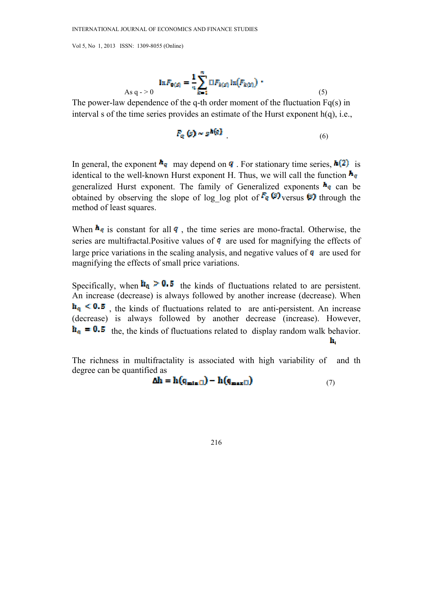As 
$$
q \to 0
$$
 
$$
\ln F_{\mathbf{0}(s)} = \frac{1}{n} \sum_{k=1}^{n} \mathbf{D} F_{k(s)} \ln(F_{k(s)}) \quad .
$$
 (5)

The power-law dependence of the q-th order moment of the fluctuation  $Fq(s)$  in interval s of the time series provides an estimate of the Hurst exponent  $h(q)$ , i.e.,

$$
F_{\alpha}(s) \sim s^{\hbar(q)}\tag{6}
$$

In general, the exponent  $\frac{h}{q}$  may depend on **q**. For stationary time series,  $h(2)$  is identical to the well-known Hurst exponent H. Thus, we will call the function  $\mathbf{h}_q$ generalized Hurst exponent. The family of Generalized exponents  $\mathbf{h}_q$  can be obtained by observing the slope of log log plot of  $\mathbb{F}_q$  (5) versus (5) through the method of least squares.

When  $\mathbf{h}_q$  is constant for all  $q$ , the time series are mono-fractal. Otherwise, the series are multifractal. Positive values of  $q$  are used for magnifying the effects of large price variations in the scaling analysis, and negative values of  $q$  are used for magnifying the effects of small price variations.

Specifically, when  $\mathbf{h}_q \geq 0.5$  the kinds of fluctuations related to are persistent. An increase (decrease) is always followed by another increase (decrease). When  $h_q \leq 0.5$ , the kinds of fluctuations related to are anti-persistent. An increase (decrease) is always followed by another decrease (increase). However,  $\mathbf{h}_{q} = 0.5$  the, the kinds of fluctuations related to display random walk behavior. h.

The richness in multifractality is associated with high variability of and th degree can be quantified as

$$
\Delta h = h(q_{\min(1)}) - h(q_{\max(1)}) \tag{7}
$$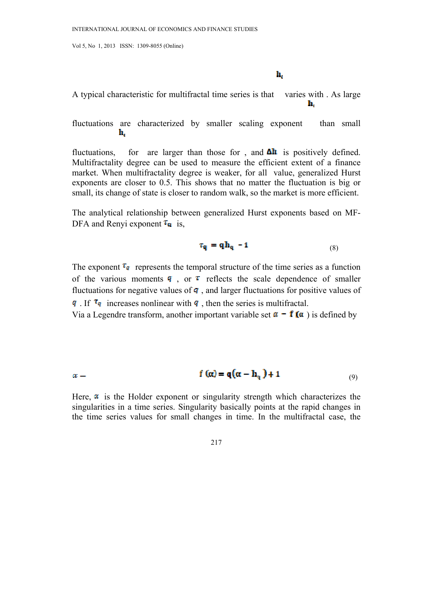h,

A typical characteristic for multifractal time series is that varies with . As large h,

fluctuations are characterized by smaller scaling exponent than small h,

fluctuations, for are larger than those for, and  $\Delta h$  is positively defined. Multifractality degree can be used to measure the efficient extent of a finance market. When multifractality degree is weaker, for all value, generalized Hurst exponents are closer to 0.5. This shows that no matter the fluctuation is big or small, its change of state is closer to random walk, so the market is more efficient.

The analytical relationship between generalized Hurst exponents based on MF-DFA and Renyi exponent  $\tau_{q}$  is,

$$
\tau_{q} = q h_{q} - 1 \tag{8}
$$

The exponent  $\tau_{q}$  represents the temporal structure of the time series as a function of the various moments  $\mathbf{q}$ , or  $\tau$  reflects the scale dependence of smaller fluctuations for negative values of  $q$ , and larger fluctuations for positive values of q. If  $\tau_q$  increases nonlinear with q, then the series is multifractal.

Via a Legendre transform, another important variable set  $\alpha - f(\alpha)$  is defined by

$$
\alpha = \mathbf{f}(\alpha) = \mathbf{q}(\alpha - \mathbf{h}_q) + 1 \tag{9}
$$

Here,  $\alpha$  is the Holder exponent or singularity strength which characterizes the singularities in a time series. Singularity basically points at the rapid changes in the time series values for small changes in time. In the multifractal case, the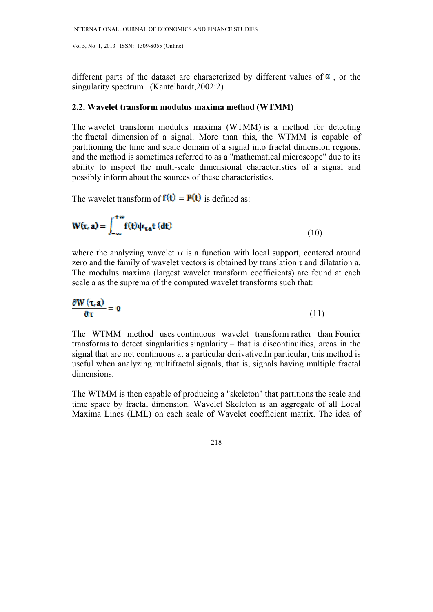different parts of the dataset are characterized by different values of  $\alpha$ , or the singularity spectrum . (Kantelhardt,2002:2)

### **2.2. Wavelet transform modulus maxima method (WTMM)**

The wavelet transform modulus maxima (WTMM) is a method for detecting the fractal dimension of a signal. More than this, the WTMM is capable of partitioning the time and scale domain of a signal into fractal dimension regions, and the method is sometimes referred to as a "mathematical microscope" due to its ability to inspect the multi-scale dimensional characteristics of a signal and possibly inform about the sources of these characteristics.

The wavelet transform of  $f(t) = P(t)$  is defined as:

$$
W(t, a) = \int_{-\infty}^{+\infty} f(t)\psi_{\tau, a}t (dt)
$$
\n(10)

where the analyzing wavelet ψ is a function with local support, centered around zero and the family of wavelet vectors is obtained by translation  $\tau$  and dilatation a. The modulus maxima (largest wavelet transform coefficients) are found at each scale a as the suprema of the computed wavelet transforms such that:

$$
\frac{\partial \mathbf{W}(\tau, \mathbf{a})}{\partial \tau} = \mathbf{0} \tag{11}
$$

The WTMM method uses continuous wavelet transform rather than Fourier transforms to detect singularities singularity  $-$  that is discontinuities, areas in the signal that are not continuous at a particular derivative.In particular, this method is useful when analyzing multifractal signals, that is, signals having multiple fractal dimensions.

The WTMM is then capable of producing a "skeleton" that partitions the scale and time space by fractal dimension. Wavelet Skeleton is an aggregate of all Local Maxima Lines (LML) on each scale of Wavelet coefficient matrix. The idea of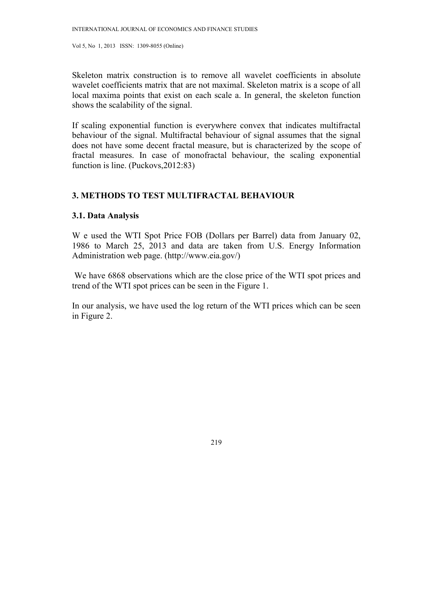Skeleton matrix construction is to remove all wavelet coefficients in absolute wavelet coefficients matrix that are not maximal. Skeleton matrix is a scope of all local maxima points that exist on each scale a. In general, the skeleton function shows the scalability of the signal.

If scaling exponential function is everywhere convex that indicates multifractal behaviour of the signal. Multifractal behaviour of signal assumes that the signal does not have some decent fractal measure, but is characterized by the scope of fractal measures. In case of monofractal behaviour, the scaling exponential function is line. (Puckovs,2012:83)

### **3. METHODS TO TEST MULTIFRACTAL BEHAVIOUR**

### **3.1. Data Analysis**

W e used the WTI Spot Price FOB (Dollars per Barrel) data from January 02, 1986 to March 25, 2013 and data are taken from U.S. Energy Information Administration web page. (http://www.eia.gov/)

 We have 6868 observations which are the close price of the WTI spot prices and trend of the WTI spot prices can be seen in the Figure 1.

In our analysis, we have used the log return of the WTI prices which can be seen in Figure 2.

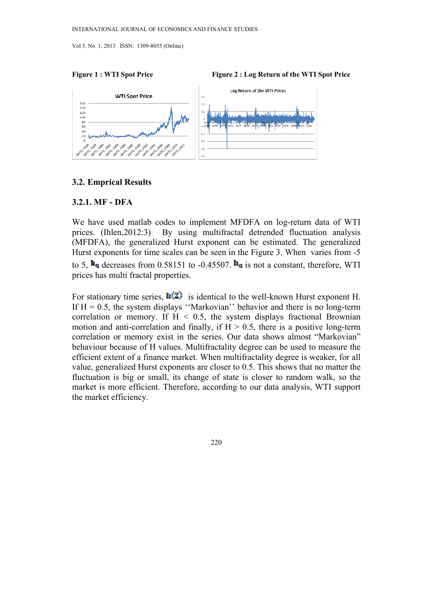



### **3.2. Emprical Results**

### **3.2.1. MF - DFA**

We have used matlab codes to implement MFDFA on log-return data of WTI prices. (Ihlen,2012:3) By using multifractal detrended fluctuation analysis (MFDFA), the generalized Hurst exponent can be estimated. The generalized Hurst exponents for time scales can be seen in the Figure 3. When varies from -5 to 5,  $\mathbf{h}_{q}$  decreases from 0.58151 to -0.45507.  $\mathbf{h}_{q}$  is not a constant, therefore, WTI prices has multi fractal properties.

For stationary time series,  $\mathbf{h}(2)$  is identical to the well-known Hurst exponent H. If  $H = 0.5$ , the system displays "Markovian" behavior and there is no long-term correlation or memory. If  $H < 0.5$ , the system displays fractional Brownian motion and anti-correlation and finally, if  $H > 0.5$ , there is a positive long-term correlation or memory exist in the series. Our data shows almost "Markovian" behaviour because of H values. Multifractality degree can be used to measure the efficient extent of a finance market. When multifractality degree is weaker, for all value, generalized Hurst exponents are closer to 0.5. This shows that no matter the fluctuation is big or small, its change of state is closer to random walk, so the market is more efficient. Therefore, according to our data analysis, WTI support the market efficiency.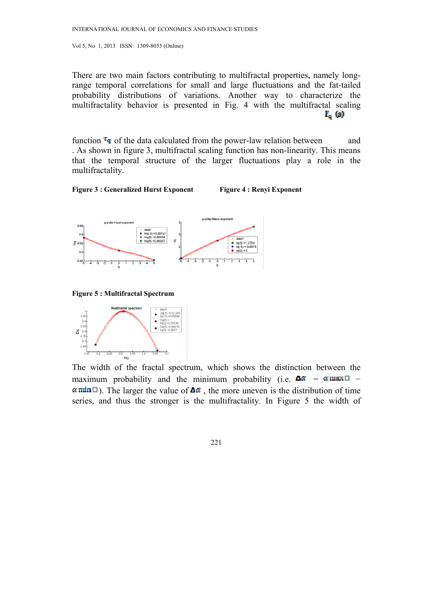There are two main factors contributing to multifractal properties, namely longrange temporal correlations for small and large fluctuations and the fat-tailed probability distributions of variations. Another way to characterize the multifractality behavior is presented in Fig. 4 with the multifractal scaling  $F_q$  (s)

function  $\tau_q$  of the data calculated from the power-law relation between and . As shown in figure 3, multifractal scaling function has non-linearity. This means that the temporal structure of the larger fluctuations play a role in the multifractality.





**Figure 5 : Multifractal Spectrum** 



The width of the fractal spectrum, which shows the distinction between the maximum probability and the minimum probability (i.e.  $\Delta \alpha$  =  $\alpha$  max $\Box$  –  $\alpha$  min  $\Box$ ). The larger the value of  $\Delta \alpha$ , the more uneven is the distribution of time series, and thus the stronger is the multifractality. In Figure 5 the width of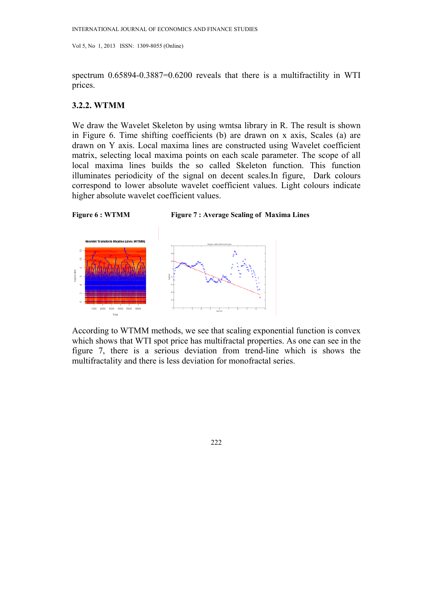spectrum 0.65894-0.3887=0.6200 reveals that there is a multifractility in WTI prices.

### **3.2.2. WTMM**

We draw the Wavelet Skeleton by using wmtsa library in R. The result is shown in Figure 6. Time shifting coefficients (b) are drawn on x axis, Scales (a) are drawn on Y axis. Local maxima lines are constructed using Wavelet coefficient matrix, selecting local maxima points on each scale parameter. The scope of all local maxima lines builds the so called Skeleton function. This function illuminates periodicity of the signal on decent scales.In figure, Dark colours correspond to lower absolute wavelet coefficient values. Light colours indicate higher absolute wavelet coefficient values.



According to WTMM methods, we see that scaling exponential function is convex which shows that WTI spot price has multifractal properties. As one can see in the figure 7, there is a serious deviation from trend-line which is shows the multifractality and there is less deviation for monofractal series.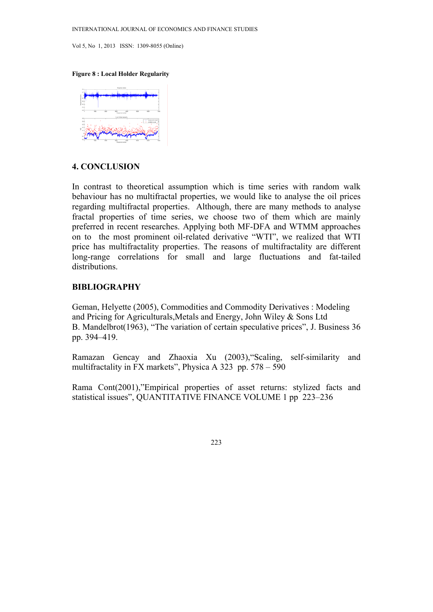### **Figure 8 : Local Holder Regularity**



# **4. CONCLUSION**

In contrast to theoretical assumption which is time series with random walk behaviour has no multifractal properties, we would like to analyse the oil prices regarding multifractal properties. Although, there are many methods to analyse fractal properties of time series, we choose two of them which are mainly preferred in recent researches. Applying both MF-DFA and WTMM approaches on to the most prominent oil-related derivative "WTI", we realized that WTI price has multifractality properties. The reasons of multifractality are different long-range correlations for small and large fluctuations and fat-tailed distributions.

### **BIBLIOGRAPHY**

Geman, Helyette (2005), Commodities and Commodity Derivatives : Modeling and Pricing for Agriculturals,Metals and Energy, John Wiley & Sons Ltd B. Mandelbrot(1963), "The variation of certain speculative prices", J. Business 36 pp. 394–419.

Ramazan Gencay and Zhaoxia Xu (2003),"Scaling, self-similarity and multifractality in FX markets", Physica A 323 pp. 578 – 590

Rama Cont(2001),"Empirical properties of asset returns: stylized facts and statistical issues", QUANTITATIVE FINANCE VOLUME 1 pp 223–236